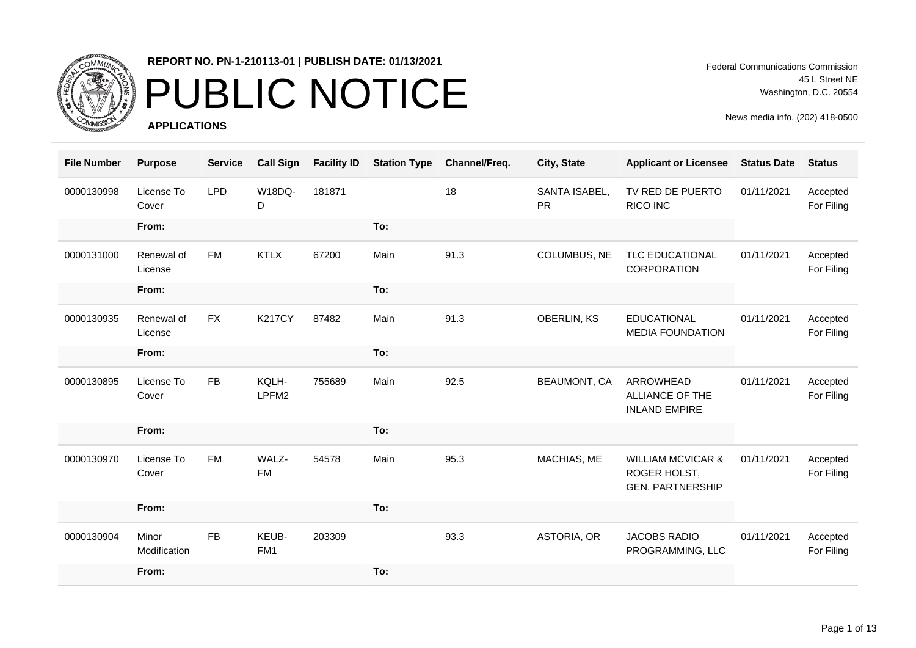

### PUBLIC NOTICE

**APPLICATIONS**

Federal Communications Commission 45 L Street NE Washington, D.C. 20554

| <b>File Number</b> | <b>Purpose</b>        | <b>Service</b> | <b>Call Sign</b>         | <b>Facility ID</b> | <b>Station Type</b> | Channel/Freq. | City, State                | <b>Applicant or Licensee</b>                                            | <b>Status Date</b> | <b>Status</b>          |
|--------------------|-----------------------|----------------|--------------------------|--------------------|---------------------|---------------|----------------------------|-------------------------------------------------------------------------|--------------------|------------------------|
| 0000130998         | License To<br>Cover   | <b>LPD</b>     | W18DQ-<br>D              | 181871             |                     | 18            | SANTA ISABEL,<br><b>PR</b> | TV RED DE PUERTO<br><b>RICO INC</b>                                     | 01/11/2021         | Accepted<br>For Filing |
|                    | From:                 |                |                          |                    | To:                 |               |                            |                                                                         |                    |                        |
| 0000131000         | Renewal of<br>License | <b>FM</b>      | <b>KTLX</b>              | 67200              | Main                | 91.3          | COLUMBUS, NE               | TLC EDUCATIONAL<br>CORPORATION                                          | 01/11/2021         | Accepted<br>For Filing |
|                    | From:                 |                |                          |                    | To:                 |               |                            |                                                                         |                    |                        |
| 0000130935         | Renewal of<br>License | <b>FX</b>      | <b>K217CY</b>            | 87482              | Main                | 91.3          | <b>OBERLIN, KS</b>         | <b>EDUCATIONAL</b><br><b>MEDIA FOUNDATION</b>                           | 01/11/2021         | Accepted<br>For Filing |
|                    | From:                 |                |                          |                    | To:                 |               |                            |                                                                         |                    |                        |
| 0000130895         | License To<br>Cover   | <b>FB</b>      | KQLH-<br>LPFM2           | 755689             | Main                | 92.5          | <b>BEAUMONT, CA</b>        | ARROWHEAD<br>ALLIANCE OF THE<br><b>INLAND EMPIRE</b>                    | 01/11/2021         | Accepted<br>For Filing |
|                    | From:                 |                |                          |                    | To:                 |               |                            |                                                                         |                    |                        |
| 0000130970         | License To<br>Cover   | <b>FM</b>      | WALZ-<br><b>FM</b>       | 54578              | Main                | 95.3          | MACHIAS, ME                | <b>WILLIAM MCVICAR &amp;</b><br>ROGER HOLST,<br><b>GEN. PARTNERSHIP</b> | 01/11/2021         | Accepted<br>For Filing |
|                    | From:                 |                |                          |                    | To:                 |               |                            |                                                                         |                    |                        |
| 0000130904         | Minor<br>Modification | <b>FB</b>      | KEUB-<br>FM <sub>1</sub> | 203309             |                     | 93.3          | ASTORIA, OR                | <b>JACOBS RADIO</b><br>PROGRAMMING, LLC                                 | 01/11/2021         | Accepted<br>For Filing |
|                    | From:                 |                |                          |                    | To:                 |               |                            |                                                                         |                    |                        |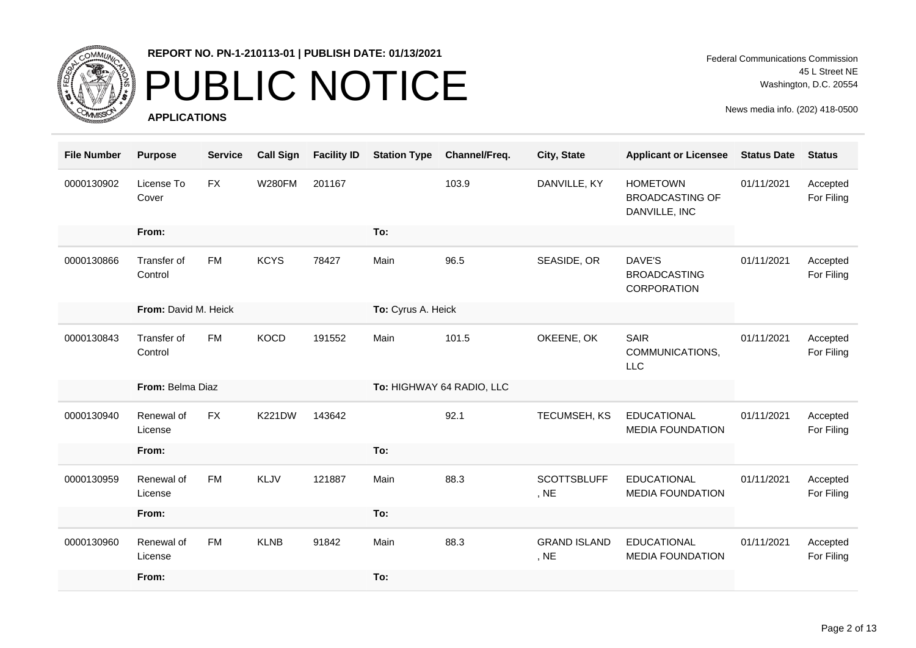

### PUBLIC NOTICE

**APPLICATIONS**

Federal Communications Commission 45 L Street NE Washington, D.C. 20554

| <b>File Number</b> | <b>Purpose</b>         | <b>Service</b> | <b>Call Sign</b> | <b>Facility ID</b> | <b>Station Type</b> | Channel/Freq.             | City, State                 | <b>Applicant or Licensee</b>                               | <b>Status Date</b> | <b>Status</b>          |
|--------------------|------------------------|----------------|------------------|--------------------|---------------------|---------------------------|-----------------------------|------------------------------------------------------------|--------------------|------------------------|
| 0000130902         | License To<br>Cover    | <b>FX</b>      | <b>W280FM</b>    | 201167             |                     | 103.9                     | DANVILLE, KY                | <b>HOMETOWN</b><br><b>BROADCASTING OF</b><br>DANVILLE, INC | 01/11/2021         | Accepted<br>For Filing |
|                    | From:                  |                |                  |                    | To:                 |                           |                             |                                                            |                    |                        |
| 0000130866         | Transfer of<br>Control | <b>FM</b>      | <b>KCYS</b>      | 78427              | Main                | 96.5                      | SEASIDE, OR                 | DAVE'S<br><b>BROADCASTING</b><br>CORPORATION               | 01/11/2021         | Accepted<br>For Filing |
|                    | From: David M. Heick   |                |                  |                    | To: Cyrus A. Heick  |                           |                             |                                                            |                    |                        |
| 0000130843         | Transfer of<br>Control | <b>FM</b>      | <b>KOCD</b>      | 191552             | Main                | 101.5                     | OKEENE, OK                  | <b>SAIR</b><br>COMMUNICATIONS,<br><b>LLC</b>               | 01/11/2021         | Accepted<br>For Filing |
|                    | From: Belma Diaz       |                |                  |                    |                     | To: HIGHWAY 64 RADIO, LLC |                             |                                                            |                    |                        |
| 0000130940         | Renewal of<br>License  | <b>FX</b>      | <b>K221DW</b>    | 143642             |                     | 92.1                      | TECUMSEH, KS                | <b>EDUCATIONAL</b><br><b>MEDIA FOUNDATION</b>              | 01/11/2021         | Accepted<br>For Filing |
|                    | From:                  |                |                  |                    | To:                 |                           |                             |                                                            |                    |                        |
| 0000130959         | Renewal of<br>License  | <b>FM</b>      | KLJV             | 121887             | Main                | 88.3                      | <b>SCOTTSBLUFF</b><br>, NE  | <b>EDUCATIONAL</b><br><b>MEDIA FOUNDATION</b>              | 01/11/2021         | Accepted<br>For Filing |
|                    | From:                  |                |                  |                    | To:                 |                           |                             |                                                            |                    |                        |
| 0000130960         | Renewal of<br>License  | <b>FM</b>      | <b>KLNB</b>      | 91842              | Main                | 88.3                      | <b>GRAND ISLAND</b><br>, NE | <b>EDUCATIONAL</b><br><b>MEDIA FOUNDATION</b>              | 01/11/2021         | Accepted<br>For Filing |
|                    | From:                  |                |                  |                    | To:                 |                           |                             |                                                            |                    |                        |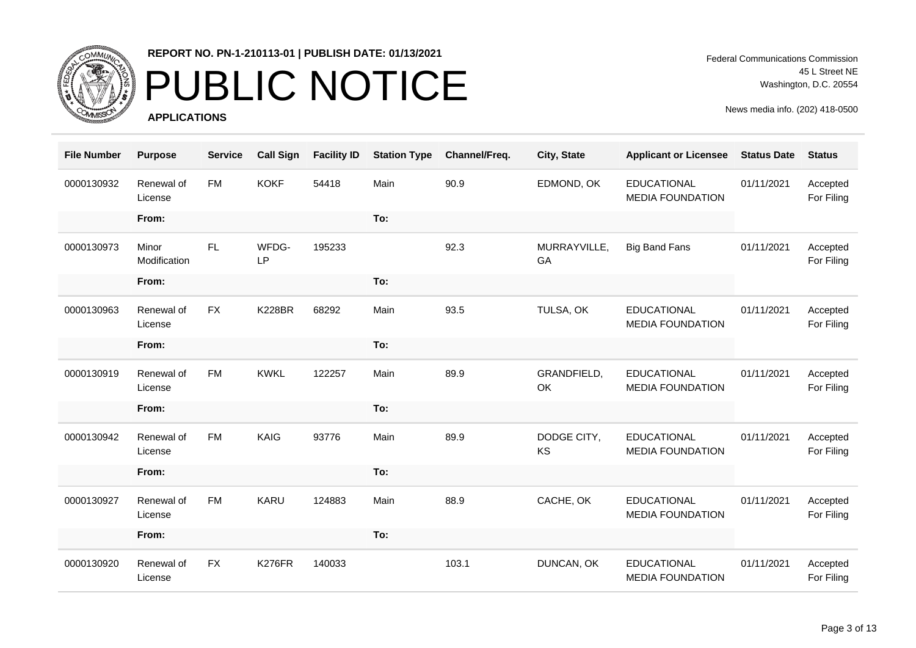

### PUBLIC NOTICE

**APPLICATIONS**

Federal Communications Commission 45 L Street NE Washington, D.C. 20554

| <b>File Number</b> | <b>Purpose</b>        | <b>Service</b> | <b>Call Sign</b>   | <b>Facility ID</b> | <b>Station Type</b> | Channel/Freq. | City, State              | <b>Applicant or Licensee</b>                  | <b>Status Date</b> | <b>Status</b>          |
|--------------------|-----------------------|----------------|--------------------|--------------------|---------------------|---------------|--------------------------|-----------------------------------------------|--------------------|------------------------|
| 0000130932         | Renewal of<br>License | <b>FM</b>      | <b>KOKF</b>        | 54418              | Main                | 90.9          | EDMOND, OK               | <b>EDUCATIONAL</b><br><b>MEDIA FOUNDATION</b> | 01/11/2021         | Accepted<br>For Filing |
|                    | From:                 |                |                    |                    | To:                 |               |                          |                                               |                    |                        |
| 0000130973         | Minor<br>Modification | FL.            | WFDG-<br><b>LP</b> | 195233             |                     | 92.3          | MURRAYVILLE,<br>GA       | <b>Big Band Fans</b>                          | 01/11/2021         | Accepted<br>For Filing |
|                    | From:                 |                |                    |                    | To:                 |               |                          |                                               |                    |                        |
| 0000130963         | Renewal of<br>License | <b>FX</b>      | <b>K228BR</b>      | 68292              | Main                | 93.5          | TULSA, OK                | <b>EDUCATIONAL</b><br><b>MEDIA FOUNDATION</b> | 01/11/2021         | Accepted<br>For Filing |
|                    | From:                 |                |                    |                    | To:                 |               |                          |                                               |                    |                        |
| 0000130919         | Renewal of<br>License | <b>FM</b>      | <b>KWKL</b>        | 122257             | Main                | 89.9          | GRANDFIELD,<br>OK        | <b>EDUCATIONAL</b><br><b>MEDIA FOUNDATION</b> | 01/11/2021         | Accepted<br>For Filing |
|                    | From:                 |                |                    |                    | To:                 |               |                          |                                               |                    |                        |
| 0000130942         | Renewal of<br>License | <b>FM</b>      | <b>KAIG</b>        | 93776              | Main                | 89.9          | DODGE CITY,<br><b>KS</b> | <b>EDUCATIONAL</b><br><b>MEDIA FOUNDATION</b> | 01/11/2021         | Accepted<br>For Filing |
|                    | From:                 |                |                    |                    | To:                 |               |                          |                                               |                    |                        |
| 0000130927         | Renewal of<br>License | <b>FM</b>      | <b>KARU</b>        | 124883             | Main                | 88.9          | CACHE, OK                | <b>EDUCATIONAL</b><br><b>MEDIA FOUNDATION</b> | 01/11/2021         | Accepted<br>For Filing |
|                    | From:                 |                |                    |                    | To:                 |               |                          |                                               |                    |                        |
| 0000130920         | Renewal of<br>License | <b>FX</b>      | <b>K276FR</b>      | 140033             |                     | 103.1         | DUNCAN, OK               | <b>EDUCATIONAL</b><br><b>MEDIA FOUNDATION</b> | 01/11/2021         | Accepted<br>For Filing |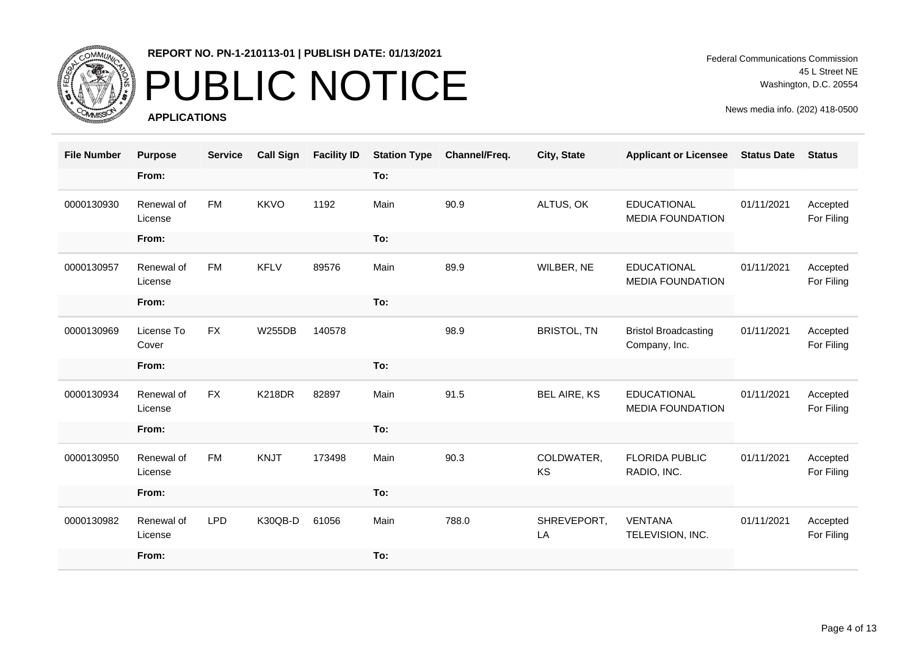

### PUBLIC NOTICE

**APPLICATIONS**

Federal Communications Commission 45 L Street NE Washington, D.C. 20554

| <b>File Number</b> | <b>Purpose</b>        | <b>Service</b> | <b>Call Sign</b> | <b>Facility ID</b> | <b>Station Type</b> | Channel/Freq. | City, State         | <b>Applicant or Licensee</b>                  | <b>Status Date</b> | <b>Status</b>          |
|--------------------|-----------------------|----------------|------------------|--------------------|---------------------|---------------|---------------------|-----------------------------------------------|--------------------|------------------------|
|                    | From:                 |                |                  |                    | To:                 |               |                     |                                               |                    |                        |
| 0000130930         | Renewal of<br>License | <b>FM</b>      | <b>KKVO</b>      | 1192               | Main                | 90.9          | ALTUS, OK           | <b>EDUCATIONAL</b><br><b>MEDIA FOUNDATION</b> | 01/11/2021         | Accepted<br>For Filing |
|                    | From:                 |                |                  |                    | To:                 |               |                     |                                               |                    |                        |
| 0000130957         | Renewal of<br>License | <b>FM</b>      | <b>KFLV</b>      | 89576              | Main                | 89.9          | WILBER, NE          | <b>EDUCATIONAL</b><br><b>MEDIA FOUNDATION</b> | 01/11/2021         | Accepted<br>For Filing |
|                    | From:                 |                |                  |                    | To:                 |               |                     |                                               |                    |                        |
| 0000130969         | License To<br>Cover   | <b>FX</b>      | <b>W255DB</b>    | 140578             |                     | 98.9          | <b>BRISTOL, TN</b>  | <b>Bristol Broadcasting</b><br>Company, Inc.  | 01/11/2021         | Accepted<br>For Filing |
|                    | From:                 |                |                  |                    | To:                 |               |                     |                                               |                    |                        |
| 0000130934         | Renewal of<br>License | <b>FX</b>      | <b>K218DR</b>    | 82897              | Main                | 91.5          | <b>BEL AIRE, KS</b> | <b>EDUCATIONAL</b><br><b>MEDIA FOUNDATION</b> | 01/11/2021         | Accepted<br>For Filing |
|                    | From:                 |                |                  |                    | To:                 |               |                     |                                               |                    |                        |
| 0000130950         | Renewal of<br>License | <b>FM</b>      | <b>KNJT</b>      | 173498             | Main                | 90.3          | COLDWATER,<br>KS    | <b>FLORIDA PUBLIC</b><br>RADIO, INC.          | 01/11/2021         | Accepted<br>For Filing |
|                    | From:                 |                |                  |                    | To:                 |               |                     |                                               |                    |                        |
| 0000130982         | Renewal of<br>License | <b>LPD</b>     | K30QB-D          | 61056              | Main                | 788.0         | SHREVEPORT,<br>LA   | <b>VENTANA</b><br>TELEVISION, INC.            | 01/11/2021         | Accepted<br>For Filing |
|                    | From:                 |                |                  |                    | To:                 |               |                     |                                               |                    |                        |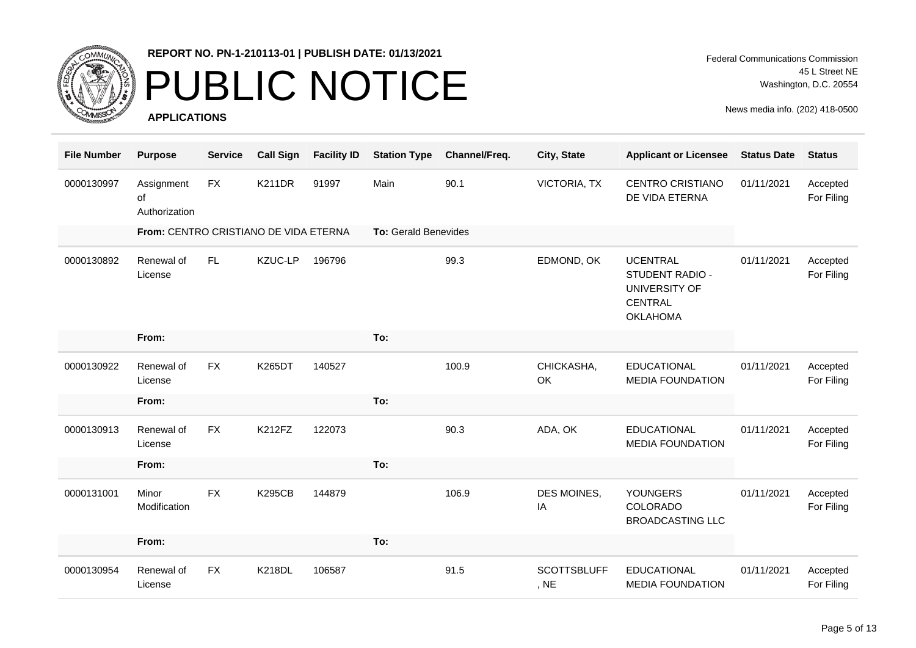

### PUBLIC NOTICE

**APPLICATIONS**

Federal Communications Commission 45 L Street NE Washington, D.C. 20554

| <b>File Number</b> | <b>Purpose</b>                        | <b>Service</b> | <b>Call Sign</b> | <b>Facility ID</b> | <b>Station Type</b>  | Channel/Freq. | City, State                | <b>Applicant or Licensee</b>                                                             | <b>Status Date</b> | <b>Status</b>          |
|--------------------|---------------------------------------|----------------|------------------|--------------------|----------------------|---------------|----------------------------|------------------------------------------------------------------------------------------|--------------------|------------------------|
| 0000130997         | Assignment<br>of<br>Authorization     | <b>FX</b>      | <b>K211DR</b>    | 91997              | Main                 | 90.1          | <b>VICTORIA, TX</b>        | <b>CENTRO CRISTIANO</b><br>DE VIDA ETERNA                                                | 01/11/2021         | Accepted<br>For Filing |
|                    | From: CENTRO CRISTIANO DE VIDA ETERNA |                |                  |                    | To: Gerald Benevides |               |                            |                                                                                          |                    |                        |
| 0000130892         | Renewal of<br>License                 | FL.            | KZUC-LP          | 196796             |                      | 99.3          | EDMOND, OK                 | <b>UCENTRAL</b><br>STUDENT RADIO -<br>UNIVERSITY OF<br><b>CENTRAL</b><br><b>OKLAHOMA</b> | 01/11/2021         | Accepted<br>For Filing |
|                    | From:                                 |                |                  |                    | To:                  |               |                            |                                                                                          |                    |                        |
| 0000130922         | Renewal of<br>License                 | <b>FX</b>      | K265DT           | 140527             |                      | 100.9         | CHICKASHA,<br>OK           | <b>EDUCATIONAL</b><br><b>MEDIA FOUNDATION</b>                                            | 01/11/2021         | Accepted<br>For Filing |
|                    | From:                                 |                |                  |                    | To:                  |               |                            |                                                                                          |                    |                        |
| 0000130913         | Renewal of<br>License                 | <b>FX</b>      | <b>K212FZ</b>    | 122073             |                      | 90.3          | ADA, OK                    | <b>EDUCATIONAL</b><br><b>MEDIA FOUNDATION</b>                                            | 01/11/2021         | Accepted<br>For Filing |
|                    | From:                                 |                |                  |                    | To:                  |               |                            |                                                                                          |                    |                        |
| 0000131001         | Minor<br>Modification                 | <b>FX</b>      | <b>K295CB</b>    | 144879             |                      | 106.9         | DES MOINES,<br>IA          | <b>YOUNGERS</b><br>COLORADO<br><b>BROADCASTING LLC</b>                                   | 01/11/2021         | Accepted<br>For Filing |
|                    | From:                                 |                |                  |                    | To:                  |               |                            |                                                                                          |                    |                        |
| 0000130954         | Renewal of<br>License                 | <b>FX</b>      | <b>K218DL</b>    | 106587             |                      | 91.5          | <b>SCOTTSBLUFF</b><br>, NE | <b>EDUCATIONAL</b><br><b>MEDIA FOUNDATION</b>                                            | 01/11/2021         | Accepted<br>For Filing |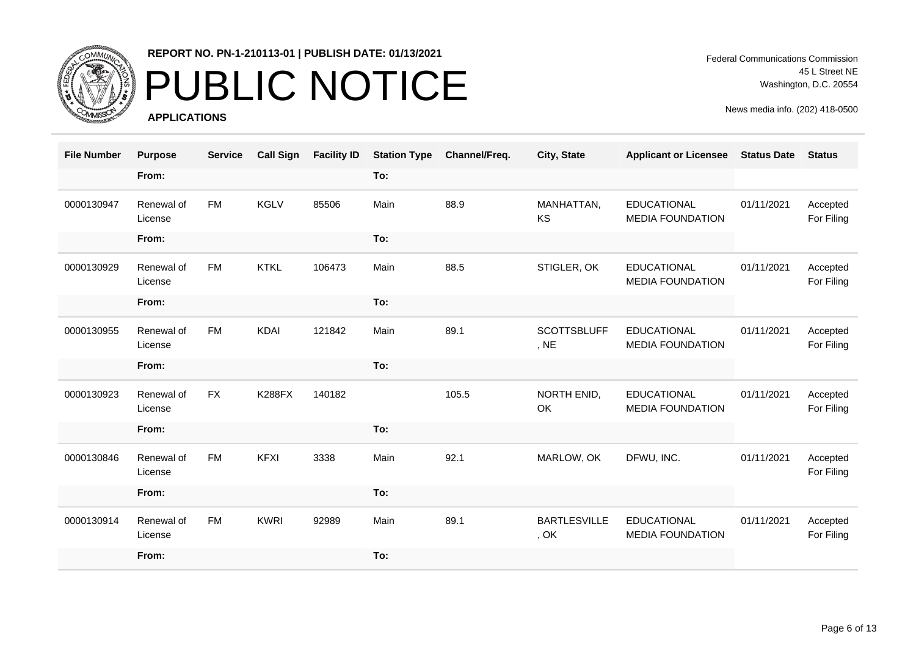

### PUBLIC NOTICE

**APPLICATIONS**

Federal Communications Commission 45 L Street NE Washington, D.C. 20554

| <b>File Number</b> | <b>Purpose</b>        | <b>Service</b> | <b>Call Sign</b> | <b>Facility ID</b> | <b>Station Type</b> | Channel/Freq. | City, State                 | <b>Applicant or Licensee</b>                  | <b>Status Date</b> | <b>Status</b>          |
|--------------------|-----------------------|----------------|------------------|--------------------|---------------------|---------------|-----------------------------|-----------------------------------------------|--------------------|------------------------|
|                    | From:                 |                |                  |                    | To:                 |               |                             |                                               |                    |                        |
| 0000130947         | Renewal of<br>License | <b>FM</b>      | <b>KGLV</b>      | 85506              | Main                | 88.9          | MANHATTAN,<br>KS            | <b>EDUCATIONAL</b><br><b>MEDIA FOUNDATION</b> | 01/11/2021         | Accepted<br>For Filing |
|                    | From:                 |                |                  |                    | To:                 |               |                             |                                               |                    |                        |
| 0000130929         | Renewal of<br>License | <b>FM</b>      | <b>KTKL</b>      | 106473             | Main                | 88.5          | STIGLER, OK                 | <b>EDUCATIONAL</b><br><b>MEDIA FOUNDATION</b> | 01/11/2021         | Accepted<br>For Filing |
|                    | From:                 |                |                  |                    | To:                 |               |                             |                                               |                    |                        |
| 0000130955         | Renewal of<br>License | <b>FM</b>      | <b>KDAI</b>      | 121842             | Main                | 89.1          | <b>SCOTTSBLUFF</b><br>, NE  | <b>EDUCATIONAL</b><br><b>MEDIA FOUNDATION</b> | 01/11/2021         | Accepted<br>For Filing |
|                    | From:                 |                |                  |                    | To:                 |               |                             |                                               |                    |                        |
| 0000130923         | Renewal of<br>License | <b>FX</b>      | <b>K288FX</b>    | 140182             |                     | 105.5         | NORTH ENID,<br>OK           | <b>EDUCATIONAL</b><br><b>MEDIA FOUNDATION</b> | 01/11/2021         | Accepted<br>For Filing |
|                    | From:                 |                |                  |                    | To:                 |               |                             |                                               |                    |                        |
| 0000130846         | Renewal of<br>License | <b>FM</b>      | <b>KFXI</b>      | 3338               | Main                | 92.1          | MARLOW, OK                  | DFWU, INC.                                    | 01/11/2021         | Accepted<br>For Filing |
|                    | From:                 |                |                  |                    | To:                 |               |                             |                                               |                    |                        |
| 0000130914         | Renewal of<br>License | <b>FM</b>      | <b>KWRI</b>      | 92989              | Main                | 89.1          | <b>BARTLESVILLE</b><br>, OK | <b>EDUCATIONAL</b><br><b>MEDIA FOUNDATION</b> | 01/11/2021         | Accepted<br>For Filing |
|                    | From:                 |                |                  |                    | To:                 |               |                             |                                               |                    |                        |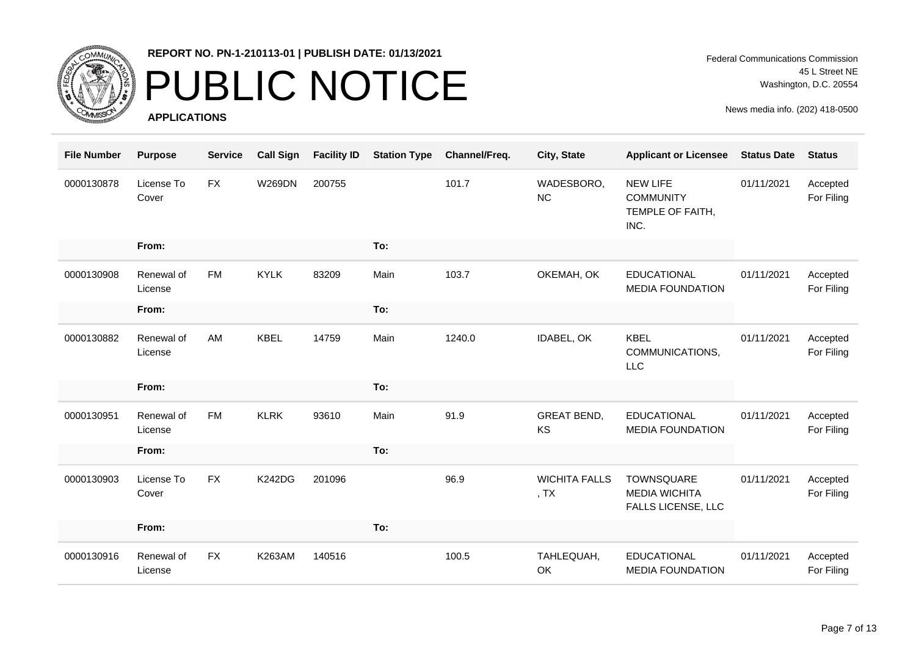

# PUBLIC NOTICE

**APPLICATIONS**

Federal Communications Commission 45 L Street NE Washington, D.C. 20554

| <b>File Number</b> | <b>Purpose</b>        | <b>Service</b> | <b>Call Sign</b> | <b>Facility ID</b> | <b>Station Type</b> | Channel/Freq. | City, State                                         | <b>Applicant or Licensee</b>                                    | <b>Status Date</b> | <b>Status</b>          |
|--------------------|-----------------------|----------------|------------------|--------------------|---------------------|---------------|-----------------------------------------------------|-----------------------------------------------------------------|--------------------|------------------------|
| 0000130878         | License To<br>Cover   | FX             | <b>W269DN</b>    | 200755             |                     | 101.7         | WADESBORO,<br>NC                                    | <b>NEW LIFE</b><br><b>COMMUNITY</b><br>TEMPLE OF FAITH,<br>INC. | 01/11/2021         | Accepted<br>For Filing |
|                    | From:                 |                |                  |                    | To:                 |               |                                                     |                                                                 |                    |                        |
| 0000130908         | Renewal of<br>License | <b>FM</b>      | <b>KYLK</b>      | 83209              | Main                | 103.7         | OKEMAH, OK                                          | <b>EDUCATIONAL</b><br><b>MEDIA FOUNDATION</b>                   | 01/11/2021         | Accepted<br>For Filing |
|                    | From:                 |                |                  |                    | To:                 |               |                                                     |                                                                 |                    |                        |
| 0000130882         | Renewal of<br>License | AM             | <b>KBEL</b>      | 14759              | Main                | 1240.0        | IDABEL, OK                                          | <b>KBEL</b><br>COMMUNICATIONS,<br><b>LLC</b>                    | 01/11/2021         | Accepted<br>For Filing |
|                    | From:                 |                |                  |                    | To:                 |               |                                                     |                                                                 |                    |                        |
| 0000130951         | Renewal of<br>License | <b>FM</b>      | <b>KLRK</b>      | 93610              | Main                | 91.9          | <b>GREAT BEND,</b><br>KS                            | <b>EDUCATIONAL</b><br><b>MEDIA FOUNDATION</b>                   | 01/11/2021         | Accepted<br>For Filing |
|                    | From:                 |                |                  |                    | To:                 |               |                                                     |                                                                 |                    |                        |
| 0000130903         | License To<br>Cover   | <b>FX</b>      | <b>K242DG</b>    | 201096             |                     | 96.9          | <b>WICHITA FALLS</b><br>, <sub>T</sub> <sub>X</sub> | TOWNSQUARE<br><b>MEDIA WICHITA</b><br>FALLS LICENSE, LLC        | 01/11/2021         | Accepted<br>For Filing |
|                    | From:                 |                |                  |                    | To:                 |               |                                                     |                                                                 |                    |                        |
| 0000130916         | Renewal of<br>License | <b>FX</b>      | <b>K263AM</b>    | 140516             |                     | 100.5         | TAHLEQUAH,<br>OK                                    | <b>EDUCATIONAL</b><br><b>MEDIA FOUNDATION</b>                   | 01/11/2021         | Accepted<br>For Filing |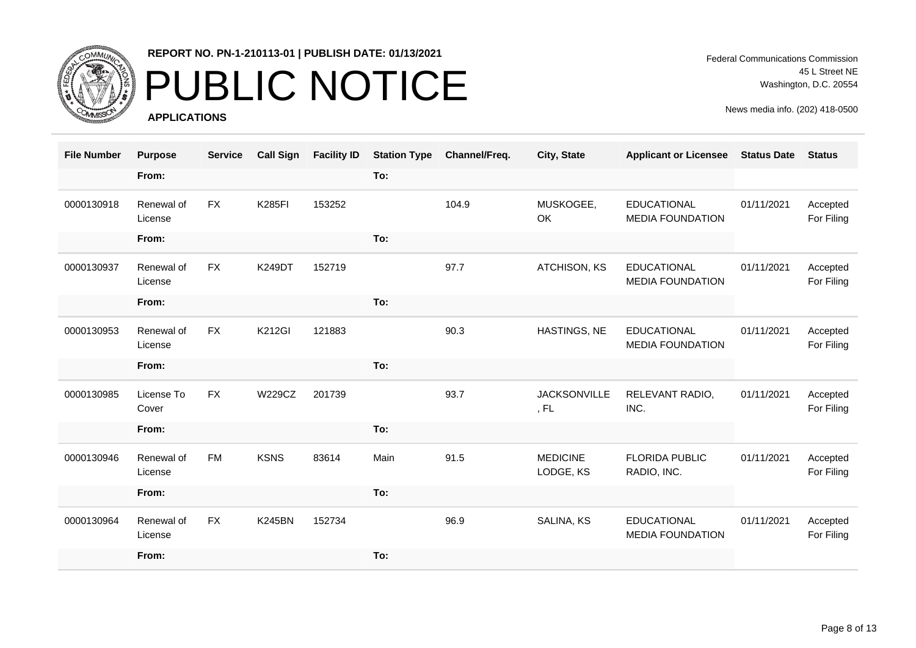

### PUBLIC NOTICE

**APPLICATIONS**

Federal Communications Commission 45 L Street NE Washington, D.C. 20554

| <b>File Number</b> | <b>Purpose</b>        | <b>Service</b> | <b>Call Sign</b> | <b>Facility ID</b> | <b>Station Type</b> | Channel/Freq. | City, State                  | <b>Applicant or Licensee</b>                  | <b>Status Date</b> | <b>Status</b>          |
|--------------------|-----------------------|----------------|------------------|--------------------|---------------------|---------------|------------------------------|-----------------------------------------------|--------------------|------------------------|
|                    | From:                 |                |                  |                    | To:                 |               |                              |                                               |                    |                        |
| 0000130918         | Renewal of<br>License | <b>FX</b>      | <b>K285FI</b>    | 153252             |                     | 104.9         | MUSKOGEE,<br>OK              | <b>EDUCATIONAL</b><br><b>MEDIA FOUNDATION</b> | 01/11/2021         | Accepted<br>For Filing |
|                    | From:                 |                |                  |                    | To:                 |               |                              |                                               |                    |                        |
| 0000130937         | Renewal of<br>License | <b>FX</b>      | <b>K249DT</b>    | 152719             |                     | 97.7          | ATCHISON, KS                 | <b>EDUCATIONAL</b><br><b>MEDIA FOUNDATION</b> | 01/11/2021         | Accepted<br>For Filing |
|                    | From:                 |                |                  |                    | To:                 |               |                              |                                               |                    |                        |
| 0000130953         | Renewal of<br>License | <b>FX</b>      | <b>K212GI</b>    | 121883             |                     | 90.3          | HASTINGS, NE                 | <b>EDUCATIONAL</b><br><b>MEDIA FOUNDATION</b> | 01/11/2021         | Accepted<br>For Filing |
|                    | From:                 |                |                  |                    | To:                 |               |                              |                                               |                    |                        |
| 0000130985         | License To<br>Cover   | <b>FX</b>      | <b>W229CZ</b>    | 201739             |                     | 93.7          | <b>JACKSONVILLE</b><br>, FL  | RELEVANT RADIO,<br>INC.                       | 01/11/2021         | Accepted<br>For Filing |
|                    | From:                 |                |                  |                    | To:                 |               |                              |                                               |                    |                        |
| 0000130946         | Renewal of<br>License | <b>FM</b>      | <b>KSNS</b>      | 83614              | Main                | 91.5          | <b>MEDICINE</b><br>LODGE, KS | <b>FLORIDA PUBLIC</b><br>RADIO, INC.          | 01/11/2021         | Accepted<br>For Filing |
|                    | From:                 |                |                  |                    | To:                 |               |                              |                                               |                    |                        |
| 0000130964         | Renewal of<br>License | <b>FX</b>      | <b>K245BN</b>    | 152734             |                     | 96.9          | SALINA, KS                   | <b>EDUCATIONAL</b><br><b>MEDIA FOUNDATION</b> | 01/11/2021         | Accepted<br>For Filing |
|                    | From:                 |                |                  |                    | To:                 |               |                              |                                               |                    |                        |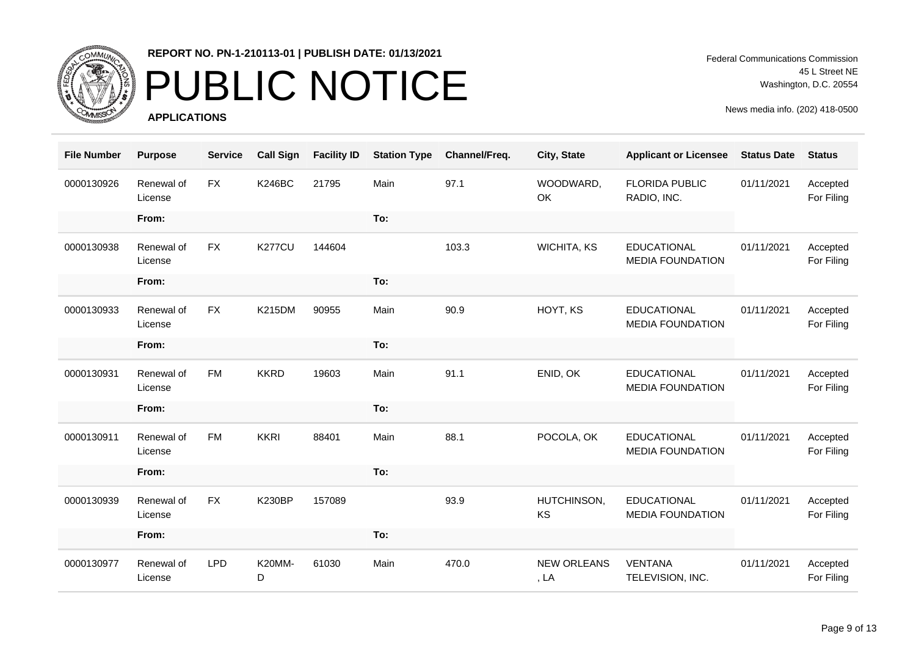

## PUBLIC NOTICE

**APPLICATIONS**

Federal Communications Commission 45 L Street NE Washington, D.C. 20554

| <b>File Number</b> | <b>Purpose</b>        | <b>Service</b> | <b>Call Sign</b> | <b>Facility ID</b> | <b>Station Type</b> | Channel/Freq. | City, State                | <b>Applicant or Licensee</b>                  | <b>Status Date</b> | <b>Status</b>          |
|--------------------|-----------------------|----------------|------------------|--------------------|---------------------|---------------|----------------------------|-----------------------------------------------|--------------------|------------------------|
| 0000130926         | Renewal of<br>License | <b>FX</b>      | <b>K246BC</b>    | 21795              | Main                | 97.1          | WOODWARD,<br>OK            | <b>FLORIDA PUBLIC</b><br>RADIO, INC.          | 01/11/2021         | Accepted<br>For Filing |
|                    | From:                 |                |                  |                    | To:                 |               |                            |                                               |                    |                        |
| 0000130938         | Renewal of<br>License | <b>FX</b>      | <b>K277CU</b>    | 144604             |                     | 103.3         | WICHITA, KS                | <b>EDUCATIONAL</b><br><b>MEDIA FOUNDATION</b> | 01/11/2021         | Accepted<br>For Filing |
|                    | From:                 |                |                  |                    | To:                 |               |                            |                                               |                    |                        |
| 0000130933         | Renewal of<br>License | <b>FX</b>      | <b>K215DM</b>    | 90955              | Main                | 90.9          | HOYT, KS                   | <b>EDUCATIONAL</b><br><b>MEDIA FOUNDATION</b> | 01/11/2021         | Accepted<br>For Filing |
|                    | From:                 |                |                  |                    | To:                 |               |                            |                                               |                    |                        |
| 0000130931         | Renewal of<br>License | <b>FM</b>      | <b>KKRD</b>      | 19603              | Main                | 91.1          | ENID, OK                   | <b>EDUCATIONAL</b><br><b>MEDIA FOUNDATION</b> | 01/11/2021         | Accepted<br>For Filing |
|                    | From:                 |                |                  |                    | To:                 |               |                            |                                               |                    |                        |
| 0000130911         | Renewal of<br>License | <b>FM</b>      | <b>KKRI</b>      | 88401              | Main                | 88.1          | POCOLA, OK                 | <b>EDUCATIONAL</b><br><b>MEDIA FOUNDATION</b> | 01/11/2021         | Accepted<br>For Filing |
|                    | From:                 |                |                  |                    | To:                 |               |                            |                                               |                    |                        |
| 0000130939         | Renewal of<br>License | <b>FX</b>      | <b>K230BP</b>    | 157089             |                     | 93.9          | HUTCHINSON,<br>KS          | <b>EDUCATIONAL</b><br><b>MEDIA FOUNDATION</b> | 01/11/2021         | Accepted<br>For Filing |
|                    | From:                 |                |                  |                    | To:                 |               |                            |                                               |                    |                        |
| 0000130977         | Renewal of<br>License | <b>LPD</b>     | K20MM-<br>D      | 61030              | Main                | 470.0         | <b>NEW ORLEANS</b><br>, LA | <b>VENTANA</b><br>TELEVISION, INC.            | 01/11/2021         | Accepted<br>For Filing |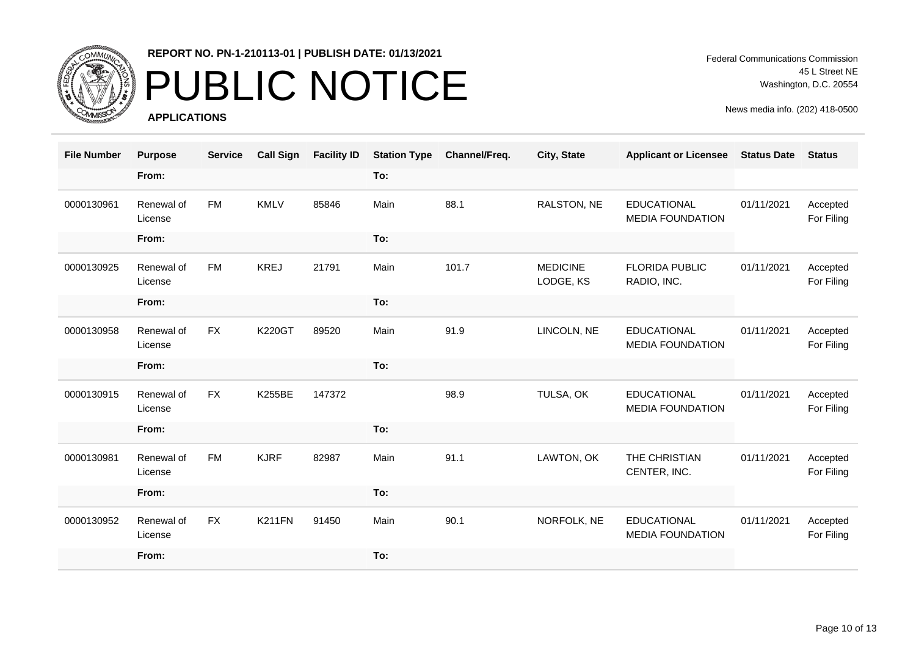

### PUBLIC NOTICE

**APPLICATIONS**

Federal Communications Commission 45 L Street NE Washington, D.C. 20554

| <b>File Number</b> | <b>Purpose</b>        | <b>Service</b> | <b>Call Sign</b> | <b>Facility ID</b> | <b>Station Type</b> | Channel/Freq. | City, State                  | <b>Applicant or Licensee</b>                  | <b>Status Date</b> | <b>Status</b>          |
|--------------------|-----------------------|----------------|------------------|--------------------|---------------------|---------------|------------------------------|-----------------------------------------------|--------------------|------------------------|
|                    | From:                 |                |                  |                    | To:                 |               |                              |                                               |                    |                        |
| 0000130961         | Renewal of<br>License | <b>FM</b>      | <b>KMLV</b>      | 85846              | Main                | 88.1          | RALSTON, NE                  | <b>EDUCATIONAL</b><br><b>MEDIA FOUNDATION</b> | 01/11/2021         | Accepted<br>For Filing |
|                    | From:                 |                |                  |                    | To:                 |               |                              |                                               |                    |                        |
| 0000130925         | Renewal of<br>License | <b>FM</b>      | <b>KREJ</b>      | 21791              | Main                | 101.7         | <b>MEDICINE</b><br>LODGE, KS | <b>FLORIDA PUBLIC</b><br>RADIO, INC.          | 01/11/2021         | Accepted<br>For Filing |
|                    | From:                 |                |                  |                    | To:                 |               |                              |                                               |                    |                        |
| 0000130958         | Renewal of<br>License | <b>FX</b>      | <b>K220GT</b>    | 89520              | Main                | 91.9          | LINCOLN, NE                  | <b>EDUCATIONAL</b><br><b>MEDIA FOUNDATION</b> | 01/11/2021         | Accepted<br>For Filing |
|                    | From:                 |                |                  |                    | To:                 |               |                              |                                               |                    |                        |
| 0000130915         | Renewal of<br>License | <b>FX</b>      | <b>K255BE</b>    | 147372             |                     | 98.9          | TULSA, OK                    | <b>EDUCATIONAL</b><br><b>MEDIA FOUNDATION</b> | 01/11/2021         | Accepted<br>For Filing |
|                    | From:                 |                |                  |                    | To:                 |               |                              |                                               |                    |                        |
| 0000130981         | Renewal of<br>License | <b>FM</b>      | <b>KJRF</b>      | 82987              | Main                | 91.1          | LAWTON, OK                   | THE CHRISTIAN<br>CENTER, INC.                 | 01/11/2021         | Accepted<br>For Filing |
|                    | From:                 |                |                  |                    | To:                 |               |                              |                                               |                    |                        |
| 0000130952         | Renewal of<br>License | <b>FX</b>      | K211FN           | 91450              | Main                | 90.1          | NORFOLK, NE                  | <b>EDUCATIONAL</b><br><b>MEDIA FOUNDATION</b> | 01/11/2021         | Accepted<br>For Filing |
|                    | From:                 |                |                  |                    | To:                 |               |                              |                                               |                    |                        |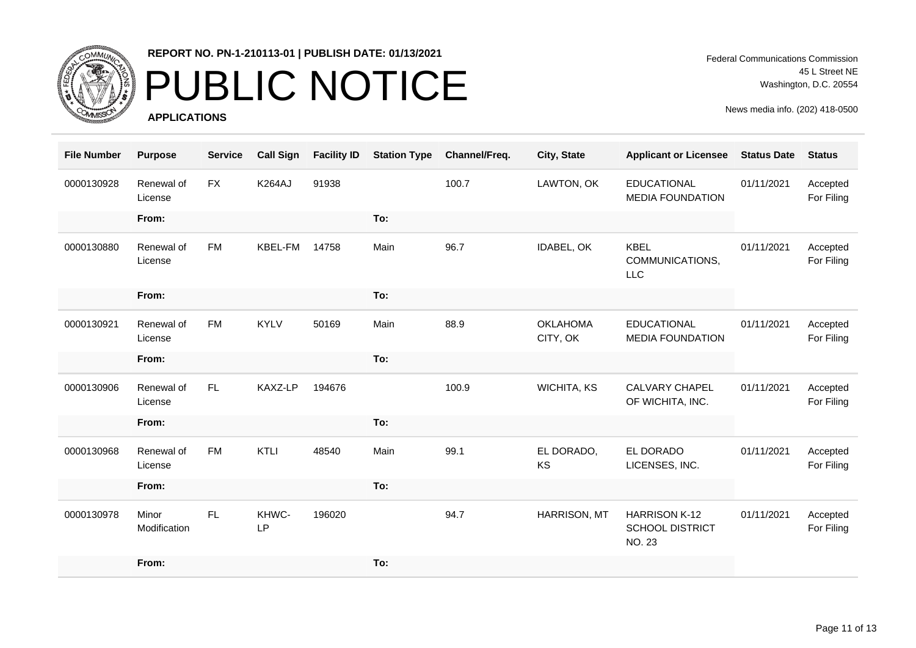

## PUBLIC NOTICE

**APPLICATIONS**

Federal Communications Commission 45 L Street NE Washington, D.C. 20554

| <b>File Number</b> | <b>Purpose</b>        | <b>Service</b> | <b>Call Sign</b> | <b>Facility ID</b> | <b>Station Type</b> | Channel/Freq. | City, State                 | <b>Applicant or Licensee</b>                                    | <b>Status Date</b> | <b>Status</b>          |
|--------------------|-----------------------|----------------|------------------|--------------------|---------------------|---------------|-----------------------------|-----------------------------------------------------------------|--------------------|------------------------|
| 0000130928         | Renewal of<br>License | <b>FX</b>      | <b>K264AJ</b>    | 91938              |                     | 100.7         | LAWTON, OK                  | <b>EDUCATIONAL</b><br><b>MEDIA FOUNDATION</b>                   | 01/11/2021         | Accepted<br>For Filing |
|                    | From:                 |                |                  |                    | To:                 |               |                             |                                                                 |                    |                        |
| 0000130880         | Renewal of<br>License | <b>FM</b>      | KBEL-FM          | 14758              | Main                | 96.7          | IDABEL, OK                  | <b>KBEL</b><br>COMMUNICATIONS,<br>LLC                           | 01/11/2021         | Accepted<br>For Filing |
|                    | From:                 |                |                  |                    | To:                 |               |                             |                                                                 |                    |                        |
| 0000130921         | Renewal of<br>License | <b>FM</b>      | <b>KYLV</b>      | 50169              | Main                | 88.9          | <b>OKLAHOMA</b><br>CITY, OK | <b>EDUCATIONAL</b><br><b>MEDIA FOUNDATION</b>                   | 01/11/2021         | Accepted<br>For Filing |
|                    | From:                 |                |                  |                    | To:                 |               |                             |                                                                 |                    |                        |
| 0000130906         | Renewal of<br>License | FL.            | KAXZ-LP          | 194676             |                     | 100.9         | <b>WICHITA, KS</b>          | <b>CALVARY CHAPEL</b><br>OF WICHITA, INC.                       | 01/11/2021         | Accepted<br>For Filing |
|                    | From:                 |                |                  |                    | To:                 |               |                             |                                                                 |                    |                        |
| 0000130968         | Renewal of<br>License | <b>FM</b>      | KTLI             | 48540              | Main                | 99.1          | EL DORADO,<br>KS            | EL DORADO<br>LICENSES, INC.                                     | 01/11/2021         | Accepted<br>For Filing |
|                    | From:                 |                |                  |                    | To:                 |               |                             |                                                                 |                    |                        |
| 0000130978         | Minor<br>Modification | FL.            | KHWC-<br>LP      | 196020             |                     | 94.7          | <b>HARRISON, MT</b>         | <b>HARRISON K-12</b><br><b>SCHOOL DISTRICT</b><br><b>NO. 23</b> | 01/11/2021         | Accepted<br>For Filing |
|                    | From:                 |                |                  |                    | To:                 |               |                             |                                                                 |                    |                        |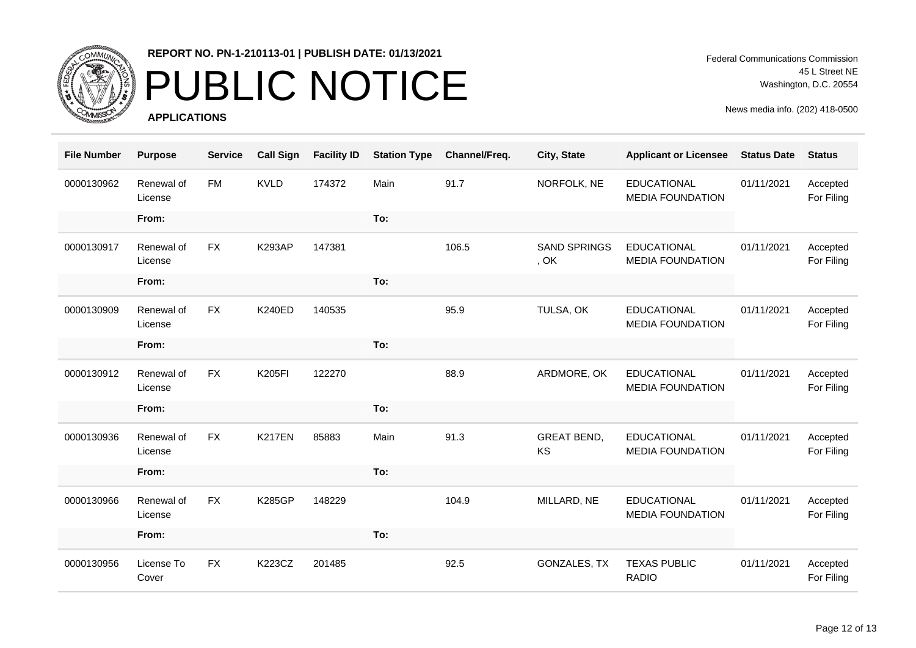

## PUBLIC NOTICE

**APPLICATIONS**

Federal Communications Commission 45 L Street NE Washington, D.C. 20554

| <b>File Number</b> | <b>Purpose</b>        | <b>Service</b> | <b>Call Sign</b> | <b>Facility ID</b> | <b>Station Type</b> | Channel/Freq. | City, State                 | <b>Applicant or Licensee</b>                  | <b>Status Date</b> | <b>Status</b>          |
|--------------------|-----------------------|----------------|------------------|--------------------|---------------------|---------------|-----------------------------|-----------------------------------------------|--------------------|------------------------|
| 0000130962         | Renewal of<br>License | <b>FM</b>      | <b>KVLD</b>      | 174372             | Main                | 91.7          | NORFOLK, NE                 | <b>EDUCATIONAL</b><br><b>MEDIA FOUNDATION</b> | 01/11/2021         | Accepted<br>For Filing |
|                    | From:                 |                |                  |                    | To:                 |               |                             |                                               |                    |                        |
| 0000130917         | Renewal of<br>License | <b>FX</b>      | <b>K293AP</b>    | 147381             |                     | 106.5         | <b>SAND SPRINGS</b><br>, OK | <b>EDUCATIONAL</b><br><b>MEDIA FOUNDATION</b> | 01/11/2021         | Accepted<br>For Filing |
|                    | From:                 |                |                  |                    | To:                 |               |                             |                                               |                    |                        |
| 0000130909         | Renewal of<br>License | <b>FX</b>      | <b>K240ED</b>    | 140535             |                     | 95.9          | TULSA, OK                   | <b>EDUCATIONAL</b><br><b>MEDIA FOUNDATION</b> | 01/11/2021         | Accepted<br>For Filing |
|                    | From:                 |                |                  |                    | To:                 |               |                             |                                               |                    |                        |
| 0000130912         | Renewal of<br>License | <b>FX</b>      | <b>K205FI</b>    | 122270             |                     | 88.9          | ARDMORE, OK                 | <b>EDUCATIONAL</b><br><b>MEDIA FOUNDATION</b> | 01/11/2021         | Accepted<br>For Filing |
|                    | From:                 |                |                  |                    | To:                 |               |                             |                                               |                    |                        |
| 0000130936         | Renewal of<br>License | <b>FX</b>      | <b>K217EN</b>    | 85883              | Main                | 91.3          | <b>GREAT BEND,</b><br>KS    | <b>EDUCATIONAL</b><br><b>MEDIA FOUNDATION</b> | 01/11/2021         | Accepted<br>For Filing |
|                    | From:                 |                |                  |                    | To:                 |               |                             |                                               |                    |                        |
| 0000130966         | Renewal of<br>License | <b>FX</b>      | <b>K285GP</b>    | 148229             |                     | 104.9         | MILLARD, NE                 | <b>EDUCATIONAL</b><br><b>MEDIA FOUNDATION</b> | 01/11/2021         | Accepted<br>For Filing |
|                    | From:                 |                |                  |                    | To:                 |               |                             |                                               |                    |                        |
| 0000130956         | License To<br>Cover   | <b>FX</b>      | K223CZ           | 201485             |                     | 92.5          | <b>GONZALES, TX</b>         | <b>TEXAS PUBLIC</b><br><b>RADIO</b>           | 01/11/2021         | Accepted<br>For Filing |